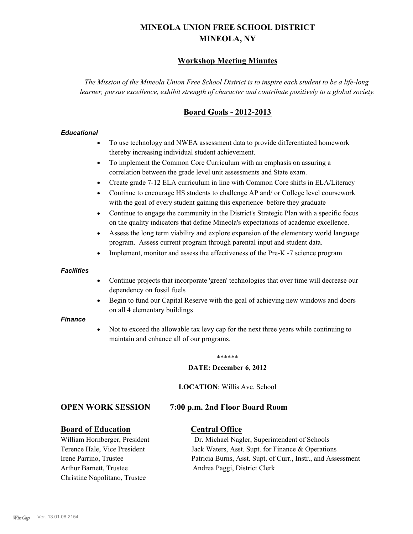# **MINEOLA UNION FREE SCHOOL DISTRICT MINEOLA, NY**

## **Workshop Meeting Minutes**

*The Mission of the Mineola Union Free School District is to inspire each student to be a life-long learner, pursue excellence, exhibit strength of character and contribute positively to a global society.*

## **Board Goals - 2012-2013**

#### *Educational*

- · To use technology and NWEA assessment data to provide differentiated homework thereby increasing individual student achievement.
- · To implement the Common Core Curriculum with an emphasis on assuring a correlation between the grade level unit assessments and State exam.
- Create grade 7-12 ELA curriculum in line with Common Core shifts in ELA/Literacy
- Continue to encourage HS students to challenge AP and/ or College level coursework with the goal of every student gaining this experience before they graduate
- · Continue to engage the community in the District's Strategic Plan with a specific focus on the quality indicators that define Mineola's expectations of academic excellence.
- Assess the long term viability and explore expansion of the elementary world language program. Assess current program through parental input and student data.
- Implement, monitor and assess the effectiveness of the Pre-K -7 science program

#### *Facilities*

- · Continue projects that incorporate 'green' technologies that over time will decrease our dependency on fossil fuels
- Begin to fund our Capital Reserve with the goal of achieving new windows and doors on all 4 elementary buildings

#### *Finance*

Not to exceed the allowable tax levy cap for the next three years while continuing to maintain and enhance all of our programs.

#### \*\*\*\*\*\*

#### **DATE: December 6, 2012**

**LOCATION**: Willis Ave. School

#### **OPEN WORK SESSION 7:00 p.m. 2nd Floor Board Room**

#### **Board of Education Central Office**

Arthur Barnett, Trustee Andrea Paggi, District Clerk Christine Napolitano, Trustee

William Hornberger, President Dr. Michael Nagler, Superintendent of Schools Terence Hale, Vice President Jack Waters, Asst. Supt. for Finance & Operations Irene Parrino, Trustee Patricia Burns, Asst. Supt. of Curr., Instr., and Assessment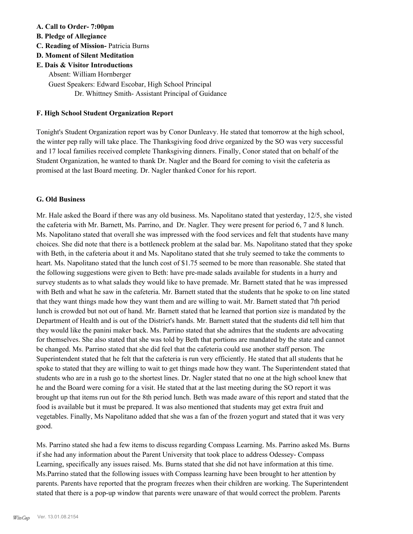#### **A. Call to Order- 7:00pm**

- **B. Pledge of Allegiance**
- **C. Reading of Mission-** Patricia Burns

### **D. Moment of Silent Meditation**

**E. Dais & Visitor Introductions** Absent: William Hornberger Guest Speakers: Edward Escobar, High School Principal Dr. Whittney Smith- Assistant Principal of Guidance

#### **F. High School Student Organization Report**

Tonight's Student Organization report was by Conor Dunleavy. He stated that tomorrow at the high school, the winter pep rally will take place. The Thanksgiving food drive organized by the SO was very successful and 17 local families received complete Thanksgiving dinners. Finally, Conor stated that on behalf of the Student Organization, he wanted to thank Dr. Nagler and the Board for coming to visit the cafeteria as promised at the last Board meeting. Dr. Nagler thanked Conor for his report.

#### **G. Old Business**

Mr. Hale asked the Board if there was any old business. Ms. Napolitano stated that yesterday, 12/5, she visted the cafeteria with Mr. Barnett, Ms. Parrino, and Dr. Nagler. They were present for period 6, 7 and 8 lunch. Ms. Napolitano stated that overall she was impressed with the food services and felt that students have many choices. She did note that there is a bottleneck problem at the salad bar. Ms. Napolitano stated that they spoke with Beth, in the cafeteria about it and Ms. Napolitano stated that she truly seemed to take the comments to heart. Ms. Napolitano stated that the lunch cost of \$1.75 seemed to be more than reasonable. She stated that the following suggestions were given to Beth: have pre-made salads available for students in a hurry and survey students as to what salads they would like to have premade. Mr. Barnett stated that he was impressed with Beth and what he saw in the cafeteria. Mr. Barnett stated that the students that he spoke to on line stated that they want things made how they want them and are willing to wait. Mr. Barnett stated that 7th period lunch is crowded but not out of hand. Mr. Barnett stated that he learned that portion size is mandated by the Department of Health and is out of the District's hands. Mr. Barnett stated that the students did tell him that they would like the panini maker back. Ms. Parrino stated that she admires that the students are advocating for themselves. She also stated that she was told by Beth that portions are mandated by the state and cannot be changed. Ms. Parrino stated that she did feel that the cafeteria could use another staff person. The Superintendent stated that he felt that the cafeteria is run very efficiently. He stated that all students that he spoke to stated that they are willing to wait to get things made how they want. The Superintendent stated that students who are in a rush go to the shortest lines. Dr. Nagler stated that no one at the high school knew that he and the Board were coming for a visit. He stated that at the last meeting during the SO report it was brought up that items run out for the 8th period lunch. Beth was made aware of this report and stated that the food is available but it must be prepared. It was also mentioned that students may get extra fruit and vegetables. Finally, Ms Napolitano added that she was a fan of the frozen yogurt and stated that it was very good.

Ms. Parrino stated she had a few items to discuss regarding Compass Learning. Ms. Parrino asked Ms. Burns if she had any information about the Parent University that took place to address Odessey- Compass Learning, specifically any issues raised. Ms. Burns stated that she did not have information at this time. Ms.Parrino stated that the following issues with Compass learning have been brought to her attention by parents. Parents have reported that the program freezes when their children are working. The Superintendent stated that there is a pop-up window that parents were unaware of that would correct the problem. Parents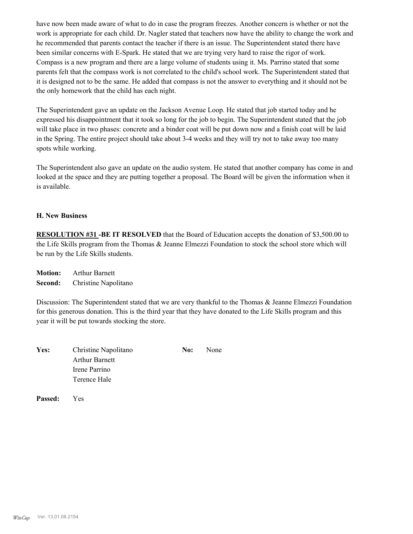have now been made aware of what to do in case the program freezes. Another concern is whether or not the work is appropriate for each child. Dr. Nagler stated that teachers now have the ability to change the work and he recommended that parents contact the teacher if there is an issue. The Superintendent stated there have been similar concerns with E-Spark. He stated that we are trying very hard to raise the rigor of work. Compass is a new program and there are a large volume of students using it. Ms. Parrino stated that some parents felt that the compass work is not correlated to the child's school work. The Superintendent stated that it is designed not to be the same. He added that compass is not the answer to everything and it should not be the only homework that the child has each night.

The Superintendent gave an update on the Jackson Avenue Loop. He stated that job started today and he expressed his disappointment that it took so long for the job to begin. The Superintendent stated that the job will take place in two phases: concrete and a binder coat will be put down now and a finish coat will be laid in the Spring. The entire project should take about 3-4 weeks and they will try not to take away too many spots while working.

The Superintendent also gave an update on the audio system. He stated that another company has come in and looked at the space and they are putting together a proposal. The Board will be given the information when it is available.

#### **H. New Business**

**RESOLUTION #31 -BE IT RESOLVED** that the Board of Education accepts the donation of \$3,500.00 to the Life Skills program from the Thomas & Jeanne Elmezzi Foundation to stock the school store which will be run by the Life Skills students.

**Motion:** Arthur Barnett **Second:** Christine Napolitano

Discussion: The Superintendent stated that we are very thankful to the Thomas & Jeanne Elmezzi Foundation for this generous donation. This is the third year that they have donated to the Life Skills program and this year it will be put towards stocking the store.

| Yes: | Christine Napolitano  | No: | None |
|------|-----------------------|-----|------|
|      | <b>Arthur Barnett</b> |     |      |
|      | Irene Parrino         |     |      |
|      | Terence Hale          |     |      |
|      |                       |     |      |

**Passed:** Yes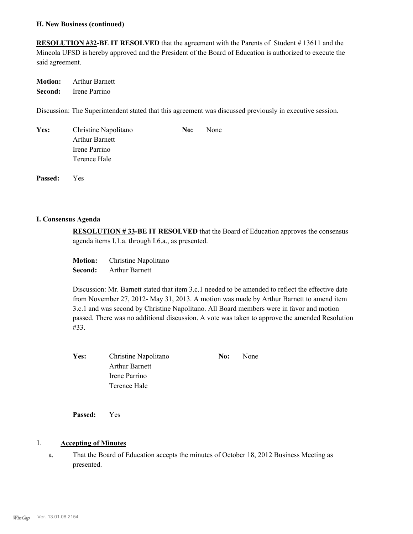#### **H. New Business (continued)**

**RESOLUTION #32-BE IT RESOLVED** that the agreement with the Parents of Student # 13611 and the Mineola UFSD is hereby approved and the President of the Board of Education is authorized to execute the said agreement.

**Motion:** Arthur Barnett **Second:** Irene Parrino

Discussion: The Superintendent stated that this agreement was discussed previously in executive session.

| Yes: | Christine Napolitano  | No: | None |
|------|-----------------------|-----|------|
|      | <b>Arthur Barnett</b> |     |      |
|      | Irene Parrino         |     |      |
|      | Terence Hale          |     |      |
|      |                       |     |      |

**Passed:** Yes

#### **I. Consensus Agenda**

**RESOLUTION # 33-BE IT RESOLVED** that the Board of Education approves the consensus agenda items I.1.a. through I.6.a., as presented.

**Motion:** Christine Napolitano **Second:** Arthur Barnett

Discussion: Mr. Barnett stated that item 3.c.1 needed to be amended to reflect the effective date from November 27, 2012- May 31, 2013. A motion was made by Arthur Barnett to amend item 3.c.1 and was second by Christine Napolitano. All Board members were in favor and motion passed. There was no additional discussion. A vote was taken to approve the amended Resolution #33.

| Yes: | Christine Napolitano | No: | None |
|------|----------------------|-----|------|
|      | Arthur Barnett       |     |      |
|      | Irene Parrino        |     |      |
|      | Terence Hale         |     |      |

**Passed:** Yes

#### 1. **Accepting of Minutes**

That the Board of Education accepts the minutes of October 18, 2012 Business Meeting as presented. a.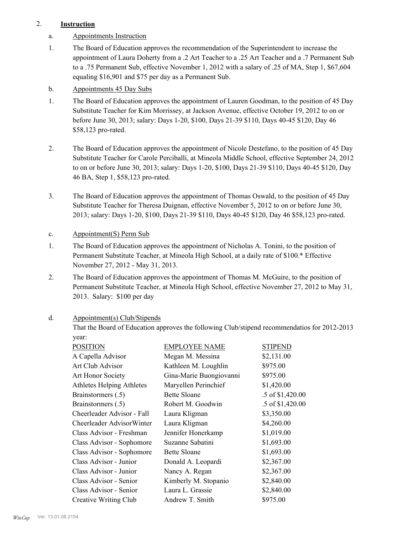## 2. **Instruction**

- a. Appointments Instruction
- The Board of Education approves the recommendation of the Superintendent to increase the appointment of Laura Doherty from a .2 Art Teacher to a .25 Art Teacher and a .7 Permanent Sub to a .75 Permanent Sub, effective November 1, 2012 with a salary of .25 of MA, Step 1, \$67,604 equaling \$16,901 and \$75 per day as a Permanent Sub. 1.
- b. Appointments 45 Day Subs
- The Board of Education approves the appointment of Lauren Goodman, to the position of 45 Day Substitute Teacher for Kim Morrissey, at Jackson Avenue, effective October 19, 2012 to on or before June 30, 2013; salary: Days 1-20, \$100, Days 21-39 \$110, Days 40-45 \$120, Day 46 \$58,123 pro-rated. 1.
- The Board of Education approves the appointment of Nicole Destefano, to the position of 45 Day Substitute Teacher for Carole Perciballi, at Mineola Middle School, effective September 24, 2012 to on or before June 30, 2013; salary: Days 1-20, \$100, Days 21-39 \$110, Days 40-45 \$120, Day 46 BA, Step 1, \$58,123 pro-rated. 2.
- The Board of Education approves the appointment of Thomas Oswald, to the position of 45 Day Substitute Teacher for Theresa Duignan, effective November 5, 2012 to on or before June 30, 2013; salary: Days 1-20, \$100, Days 21-39 \$110, Days 40-45 \$120, Day 46 \$58,123 pro-rated. 3.
- c. Appointment(S) Perm Sub
- The Board of Education approves the appointment of Nicholas A. Tonini, to the position of Permanent Substitute Teacher, at Mineola High School, at a daily rate of \$100.\* Effective November 27, 2012 - May 31, 2013. 1.
- The Board of Education approves the appointment of Thomas M. McGuire, to the position of Permanent Substitute Teacher, at Mineola High School, effective November 27, 2012 to May 31, 2013. Salary: \$100 per day 2.

#### Appointment(s) Club/Stipends d.

That the Board of Education approves the following Club/stipend recommendatios for 2012-2013 year:

| <b>POSITION</b>            | <b>EMPLOYEE NAME</b>    | <b>STIPEND</b>   |
|----------------------------|-------------------------|------------------|
| A Capella Advisor          | Megan M. Messina        | \$2,131.00       |
| Art Club Advisor           | Kathleen M. Loughlin    | \$975.00         |
| Art Honor Society          | Gina-Marie Buongiovanni | \$975.00         |
| Athletes Helping Athletes  | Maryellen Perinchief    | \$1,420.00       |
| Brainstormers (.5)         | <b>Bette Sloane</b>     | .5 of \$1,420.00 |
| Brainstormers (.5)         | Robert M. Goodwin       | .5 of \$1,420.00 |
| Cheerleader Advisor - Fall | Laura Kligman           | \$3,350.00       |
| Cheerleader AdvisorWinter  | Laura Kligman           | \$4,260.00       |
| Class Advisor - Freshman   | Jennifer Honerkamp      | \$1,019.00       |
| Class Advisor - Sophomore  | Suzanne Sabatini        | \$1,693.00       |
| Class Advisor - Sophomore  | <b>Bette Sloane</b>     | \$1,693.00       |
| Class Advisor - Junior     | Donald A. Leopardi      | \$2,367.00       |
| Class Advisor - Junior     | Nancy A. Regan          | \$2,367.00       |
| Class Advisor - Senior     | Kimberly M. Stopanio    | \$2,840.00       |
| Class Advisor - Senior     | Laura L. Grassie        | \$2,840.00       |
| Creative Writing Club      | Andrew T. Smith         | \$975.00         |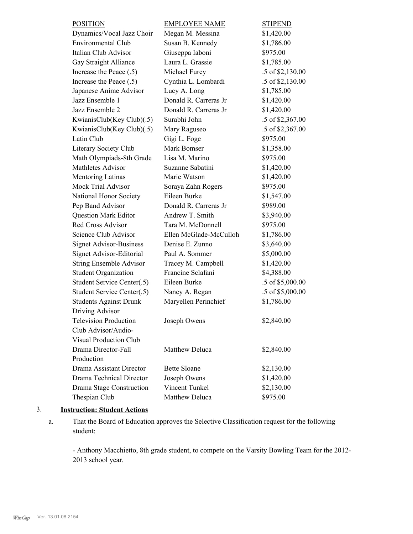| <b>POSITION</b>                | <b>EMPLOYEE NAME</b>   | <b>STIPEND</b>   |
|--------------------------------|------------------------|------------------|
| Dynamics/Vocal Jazz Choir      | Megan M. Messina       | \$1,420.00       |
| Environmental Club             | Susan B. Kennedy       | \$1,786.00       |
| Italian Club Advisor           | Giuseppa Iaboni        | \$975.00         |
| Gay Straight Alliance          | Laura L. Grassie       | \$1,785.00       |
| Increase the Peace (.5)        | Michael Furey          | .5 of \$2,130.00 |
| Increase the Peace (.5)        | Cynthia L. Lombardi    | .5 of \$2,130.00 |
| Japanese Anime Advisor         | Lucy A. Long           | \$1,785.00       |
| Jazz Ensemble 1                | Donald R. Carreras Jr  | \$1,420.00       |
| Jazz Ensemble 2                | Donald R. Carreras Jr  | \$1,420.00       |
| KwianisClub(Key Club)(.5)      | Surabhi John           | .5 of \$2,367.00 |
| KwianisClub(Key Club)(.5)      | Mary Raguseo           | .5 of \$2,367.00 |
| Latin Club                     | Gigi L. Foge           | \$975.00         |
| Literary Society Club          | Mark Bomser            | \$1,358.00       |
| Math Olympiads-8th Grade       | Lisa M. Marino         | \$975.00         |
| <b>Mathletes Advisor</b>       | Suzanne Sabatini       | \$1,420.00       |
| Mentoring Latinas              | Marie Watson           | \$1,420.00       |
| Mock Trial Advisor             | Soraya Zahn Rogers     | \$975.00         |
| National Honor Society         | Eileen Burke           | \$1,547.00       |
| Pep Band Advisor               | Donald R. Carreras Jr  | \$989.00         |
| <b>Question Mark Editor</b>    | Andrew T. Smith        | \$3,940.00       |
| <b>Red Cross Advisor</b>       | Tara M. McDonnell      | \$975.00         |
| Science Club Advisor           | Ellen McGlade-McCulloh | \$1,786.00       |
| <b>Signet Advisor-Business</b> | Denise E. Zunno        | \$3,640.00       |
| Signet Advisor-Editorial       | Paul A. Sommer         | \$5,000.00       |
| <b>String Ensemble Advisor</b> | Tracey M. Campbell     | \$1,420.00       |
| <b>Student Organization</b>    | Francine Sclafani      | \$4,388.00       |
| Student Service Center(.5)     | Eileen Burke           | .5 of \$5,000.00 |
| Student Service Center(.5)     | Nancy A. Regan         | .5 of \$5,000.00 |
| <b>Students Against Drunk</b>  | Maryellen Perinchief   | \$1,786.00       |
| Driving Advisor                |                        |                  |
| <b>Television Production</b>   | Joseph Owens           | \$2,840.00       |
| Club Advisor/Audio-            |                        |                  |
| <b>Visual Production Club</b>  |                        |                  |
| Drama Director-Fall            | Matthew Deluca         | \$2,840.00       |
| Production                     |                        |                  |
| Drama Assistant Director       | <b>Bette Sloane</b>    | \$2,130.00       |
| Drama Technical Director       | Joseph Owens           | \$1,420.00       |
| Drama Stage Construction       | Vincent Tunkel         | \$2,130.00       |
| Thespian Club                  | Matthew Deluca         | \$975.00         |

## 3. **Instruction: Student Actions**

That the Board of Education approves the Selective Classification request for the following student: a.

- Anthony Macchietto, 8th grade student, to compete on the Varsity Bowling Team for the 2012- 2013 school year.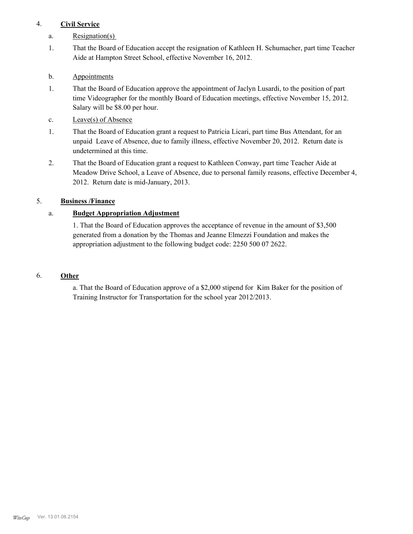## 4. **Civil Service**

- a. Resignation(s)
- That the Board of Education accept the resignation of Kathleen H. Schumacher, part time Teacher Aide at Hampton Street School, effective November 16, 2012. 1.
- b. **Appointments**
- That the Board of Education approve the appointment of Jaclyn Lusardi, to the position of part time Videographer for the monthly Board of Education meetings, effective November 15, 2012. Salary will be \$8.00 per hour. 1.
- c. Leave(s) of Absence
- That the Board of Education grant a request to Patricia Licari, part time Bus Attendant, for an unpaid Leave of Absence, due to family illness, effective November 20, 2012. Return date is undetermined at this time. 1.
- That the Board of Education grant a request to Kathleen Conway, part time Teacher Aide at Meadow Drive School, a Leave of Absence, due to personal family reasons, effective December 4, 2012. Return date is mid-January, 2013. 2.

## 5. **Business /Finance**

## a. **Budget Appropriation Adjustment**

1. That the Board of Education approves the acceptance of revenue in the amount of \$3,500 generated from a donation by the Thomas and Jeanne Elmezzi Foundation and makes the appropriation adjustment to the following budget code: 2250 500 07 2622.

### 6. **Other**

a. That the Board of Education approve of a \$2,000 stipend for Kim Baker for the position of Training Instructor for Transportation for the school year 2012/2013.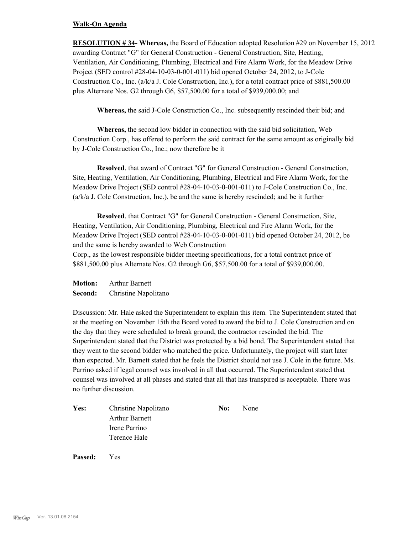#### **Walk-On Agenda**

**RESOLUTION # 34- Whereas,** the Board of Education adopted Resolution #29 on November 15, 2012 awarding Contract "G" for General Construction - General Construction, Site, Heating, Ventilation, Air Conditioning, Plumbing, Electrical and Fire Alarm Work, for the Meadow Drive Project (SED control #28-04-10-03-0-001-011) bid opened October 24, 2012, to J-Cole Construction Co., Inc. (a/k/a J. Cole Construction, Inc.), for a total contract price of \$881,500.00 plus Alternate Nos. G2 through G6, \$57,500.00 for a total of \$939,000.00; and

**Whereas,** the said J-Cole Construction Co., Inc. subsequently rescinded their bid; and

**Whereas,** the second low bidder in connection with the said bid solicitation, Web Construction Corp., has offered to perform the said contract for the same amount as originally bid by J-Cole Construction Co., Inc.; now therefore be it

**Resolved**, that award of Contract "G" for General Construction - General Construction, Site, Heating, Ventilation, Air Conditioning, Plumbing, Electrical and Fire Alarm Work, for the Meadow Drive Project (SED control #28-04-10-03-0-001-011) to J-Cole Construction Co., Inc. (a/k/a J. Cole Construction, Inc.), be and the same is hereby rescinded; and be it further

**Resolved**, that Contract "G" for General Construction - General Construction, Site, Heating, Ventilation, Air Conditioning, Plumbing, Electrical and Fire Alarm Work, for the Meadow Drive Project (SED control #28-04-10-03-0-001-011) bid opened October 24, 2012, be and the same is hereby awarded to Web Construction

Corp., as the lowest responsible bidder meeting specifications, for a total contract price of \$881,500.00 plus Alternate Nos. G2 through G6, \$57,500.00 for a total of \$939,000.00.

**Motion:** Arthur Barnett **Second:** Christine Napolitano

Discussion: Mr. Hale asked the Superintendent to explain this item. The Superintendent stated that at the meeting on November 15th the Board voted to award the bid to J. Cole Construction and on the day that they were scheduled to break ground, the contractor rescinded the bid. The Superintendent stated that the District was protected by a bid bond. The Superintendent stated that they went to the second bidder who matched the price. Unfortunately, the project will start later than expected. Mr. Barnett stated that he feels the District should not use J. Cole in the future. Ms. Parrino asked if legal counsel was involved in all that occurred. The Superintendent stated that counsel was involved at all phases and stated that all that has transpired is acceptable. There was no further discussion.

| Yes: | Christine Napolitano  | No: | None |
|------|-----------------------|-----|------|
|      | <b>Arthur Barnett</b> |     |      |
|      | Irene Parrino         |     |      |
|      | Terence Hale          |     |      |
|      |                       |     |      |

**Passed:** Yes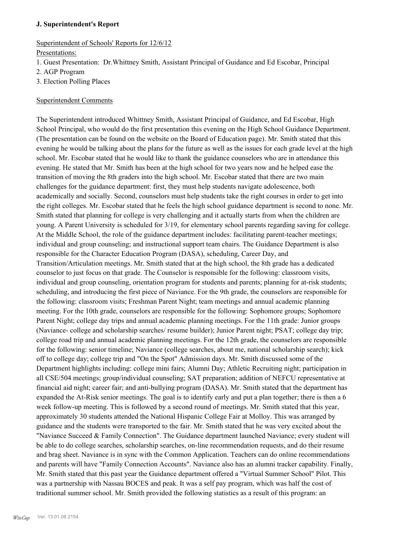#### **J. Superintendent's Report**

## Superintendent of Schools' Reports for 12/6/12

## Presentations:

- 1. Guest Presentation: Dr.Whittney Smith, Assistant Principal of Guidance and Ed Escobar, Principal
- 2. AGP Program
- 3. Election Polling Places

## Superintendent Comments

The Superintendent introduced Whittney Smith, Assistant Principal of Guidance, and Ed Escobar, High School Principal, who would do the first presentation this evening on the High School Guidance Department. (The presentation can be found on the website on the Board of Education page). Mr. Smith stated that this evening he would be talking about the plans for the future as well as the issues for each grade level at the high school. Mr. Escobar stated that he would like to thank the guidance counselors who are in attendance this evening. He stated that Mr. Smith has been at the high school for two years now and he helped ease the transition of moving the 8th graders into the high school. Mr. Escobar stated that there are two main challenges for the guidance department: first, they must help students navigate adolescence, both academically and socially. Second, counselors must help students take the right courses in order to get into the right colleges. Mr. Escobar stated that he feels the high school guidance department is second to none. Mr. Smith stated that planning for college is very challenging and it actually starts from when the children are young. A Parent University is scheduled for 3/19, for elementary school parents regarding saving for college. At the Middle School, the role of the guidance department includes: facilitating parent-teacher meetings; individual and group counseling; and instructional support team chairs. The Guidance Department is also responsible for the Character Education Program (DASA), scheduling, Career Day, and Transition/Articulation meetings. Mr. Smith stated that at the high school, the 8th grade has a dedicated counselor to just focus on that grade. The Counselor is responsible for the following: classroom visits, individual and group counseling, orientation program for students and parents; planning for at-risk students; scheduling, and introducing the first piece of Naviance. For the 9th grade, the counselors are responsible for the following: classroom visits; Freshman Parent Night; team meetings and annual academic planning meeting. For the 10th grade, counselors are responsible for the following: Sophomore groups; Sophomore Parent Night; college day trips and annual academic planning meetings. For the 11th grade: Junior groups (Naviance- college and scholarship searches/ resume builder); Junior Parent night; PSAT; college day trip; college road trip and annual academic planning meetings. For the 12th grade, the counselors are responsible for the following: senior timeline; Naviance (college searches, about me, national scholarship search); kick off to college day; college trip and "On the Spot" Admission days. Mr. Smith discussed some of the Department highlights including: college mini fairs; Alumni Day; Athletic Recruiting night; participation in all CSE/504 meetings; group/individual counseling; SAT preparation; addition of NEFCU representative at financial aid night; career fair; and anti-bullying program (DASA). Mr. Smith stated that the department has expanded the At-Risk senior meetings. The goal is to identify early and put a plan together; there is then a 6 week follow-up meeting. This is followed by a second round of meetings. Mr. Smith stated that this year, approximately 30 students attended the National Hispanic College Fair at Molloy. This was arranged by guidance and the students were transported to the fair. Mr. Smith stated that he was very excited about the "Naviance Succeed & Family Connection". The Guidance department launched Naviance; every student will be able to do college searches, scholarship searches, on-line recommendation requests, and do their resume and brag sheet. Naviance is in sync with the Common Application. Teachers can do online recommendations and parents will have "Family Connection Accounts". Naviance also has an alumni tracker capability. Finally, Mr. Smith stated that this past year the Guidance department offered a "Virtual Summer School" Pilot. This was a partnership with Nassau BOCES and peak. It was a self pay program, which was half the cost of traditional summer school. Mr. Smith provided the following statistics as a result of this program: an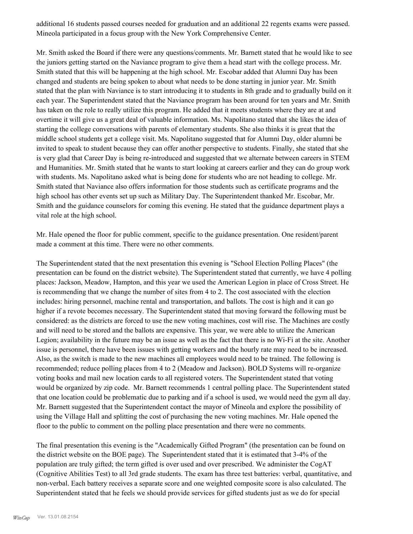additional 16 students passed courses needed for graduation and an additional 22 regents exams were passed. Mineola participated in a focus group with the New York Comprehensive Center.

Mr. Smith asked the Board if there were any questions/comments. Mr. Barnett stated that he would like to see the juniors getting started on the Naviance program to give them a head start with the college process. Mr. Smith stated that this will be happening at the high school. Mr. Escobar added that Alumni Day has been changed and students are being spoken to about what needs to be done starting in junior year. Mr. Smith stated that the plan with Naviance is to start introducing it to students in 8th grade and to gradually build on it each year. The Superintendent stated that the Naviance program has been around for ten years and Mr. Smith has taken on the role to really utilize this program. He added that it meets students where they are at and overtime it will give us a great deal of valuable information. Ms. Napolitano stated that she likes the idea of starting the college conversations with parents of elementary students. She also thinks it is great that the middle school students get a college visit. Ms. Napolitano suggested that for Alumni Day, older alumni be invited to speak to student because they can offer another perspective to students. Finally, she stated that she is very glad that Career Day is being re-introduced and suggested that we alternate between careers in STEM and Humanities. Mr. Smith stated that he wants to start looking at careers earlier and they can do group work with students. Ms. Napolitano asked what is being done for students who are not heading to college. Mr. Smith stated that Naviance also offers information for those students such as certificate programs and the high school has other events set up such as Military Day. The Superintendent thanked Mr. Escobar, Mr. Smith and the guidance counselors for coming this evening. He stated that the guidance department plays a vital role at the high school.

Mr. Hale opened the floor for public comment, specific to the guidance presentation. One resident/parent made a comment at this time. There were no other comments.

The Superintendent stated that the next presentation this evening is "School Election Polling Places" (the presentation can be found on the district website). The Superintendent stated that currently, we have 4 polling places: Jackson, Meadow, Hampton, and this year we used the American Legion in place of Cross Street. He is recommending that we change the number of sites from 4 to 2. The cost associated with the election includes: hiring personnel, machine rental and transportation, and ballots. The cost is high and it can go higher if a revote becomes necessary. The Superintendent stated that moving forward the following must be considered: as the districts are forced to use the new voting machines, cost will rise. The Machines are costly and will need to be stored and the ballots are expensive. This year, we were able to utilize the American Legion; availability in the future may be an issue as well as the fact that there is no Wi-Fi at the site. Another issue is personnel, there have been issues with getting workers and the hourly rate may need to be increased. Also, as the switch is made to the new machines all employees would need to be trained. The following is recommended; reduce polling places from 4 to 2 (Meadow and Jackson). BOLD Systems will re-organize voting books and mail new location cards to all registered voters. The Superintendent stated that voting would be organized by zip code. Mr. Barnett recommends 1 central polling place. The Superintendent stated that one location could be problematic due to parking and if a school is used, we would need the gym all day. Mr. Barnett suggested that the Superintendent contact the mayor of Mineola and explore the possibility of using the Village Hall and splitting the cost of purchasing the new voting machines. Mr. Hale opened the floor to the public to comment on the polling place presentation and there were no comments.

The final presentation this evening is the "Academically Gifted Program" (the presentation can be found on the district website on the BOE page). The Superintendent stated that it is estimated that 3-4% of the population are truly gifted; the term gifted is over used and over prescribed. We administer the CogAT (Cognitive Abilities Test) to all 3rd grade students. The exam has three test batteries: verbal, quantitative, and non-verbal. Each battery receives a separate score and one weighted composite score is also calculated. The Superintendent stated that he feels we should provide services for gifted students just as we do for special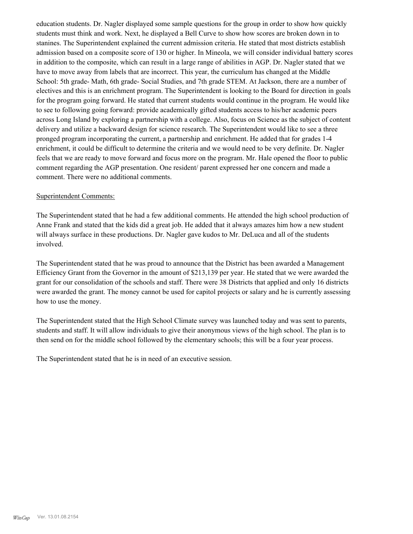education students. Dr. Nagler displayed some sample questions for the group in order to show how quickly students must think and work. Next, he displayed a Bell Curve to show how scores are broken down in to stanines. The Superintendent explained the current admission criteria. He stated that most districts establish admission based on a composite score of 130 or higher. In Mineola, we will consider individual battery scores in addition to the composite, which can result in a large range of abilities in AGP. Dr. Nagler stated that we have to move away from labels that are incorrect. This year, the curriculum has changed at the Middle School: 5th grade- Math, 6th grade- Social Studies, and 7th grade STEM. At Jackson, there are a number of electives and this is an enrichment program. The Superintendent is looking to the Board for direction in goals for the program going forward. He stated that current students would continue in the program. He would like to see to following going forward: provide academically gifted students access to his/her academic peers across Long Island by exploring a partnership with a college. Also, focus on Science as the subject of content delivery and utilize a backward design for science research. The Superintendent would like to see a three pronged program incorporating the current, a partnership and enrichment. He added that for grades 1-4 enrichment, it could be difficult to determine the criteria and we would need to be very definite. Dr. Nagler feels that we are ready to move forward and focus more on the program. Mr. Hale opened the floor to public comment regarding the AGP presentation. One resident/ parent expressed her one concern and made a comment. There were no additional comments.

#### Superintendent Comments:

The Superintendent stated that he had a few additional comments. He attended the high school production of Anne Frank and stated that the kids did a great job. He added that it always amazes him how a new student will always surface in these productions. Dr. Nagler gave kudos to Mr. DeLuca and all of the students involved.

The Superintendent stated that he was proud to announce that the District has been awarded a Management Efficiency Grant from the Governor in the amount of \$213,139 per year. He stated that we were awarded the grant for our consolidation of the schools and staff. There were 38 Districts that applied and only 16 districts were awarded the grant. The money cannot be used for capitol projects or salary and he is currently assessing how to use the money.

The Superintendent stated that the High School Climate survey was launched today and was sent to parents, students and staff. It will allow individuals to give their anonymous views of the high school. The plan is to then send on for the middle school followed by the elementary schools; this will be a four year process.

The Superintendent stated that he is in need of an executive session.